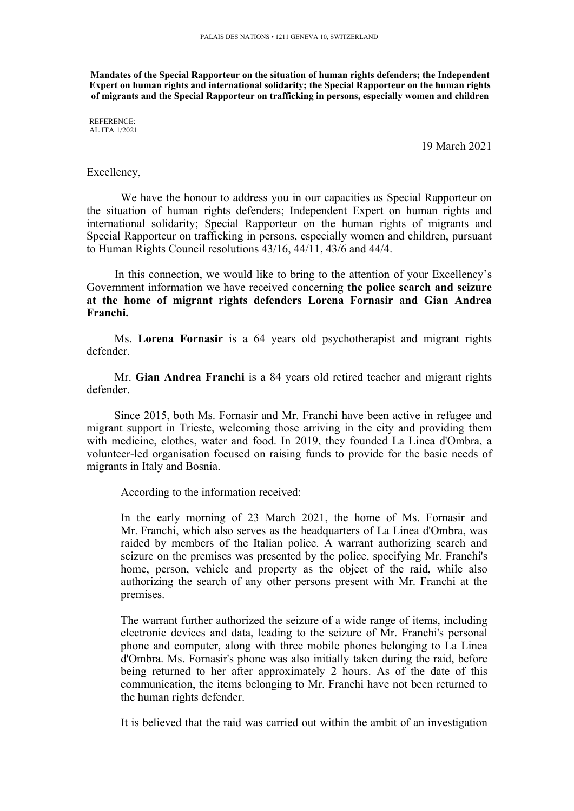**Mandates of the Special Rapporteur on the situation of human rights defenders; the Independent Expert on human rights and international solidarity; the Special Rapporteur on the human rights of migrants and the Special Rapporteur on trafficking in persons, especially women and children**

REFERENCE: AL ITA 1/2021

19 March 2021

## Excellency,

We have the honour to address you in our capacities as Special Rapporteur on the situation of human rights defenders; Independent Expert on human rights and international solidarity; Special Rapporteur on the human rights of migrants and Special Rapporteur on trafficking in persons, especially women and children, pursuan<sup>t</sup> to Human Rights Council resolutions 43/16, 44/11, 43/6 and 44/4.

In this connection, we would like to bring to the attention of your Excellency'<sup>s</sup> Government information we have received concerning **the police search and seizure at the home of migrant rights defenders Lorena Fornasir and Gian Andrea Franchi.**

Ms. **Lorena Fornasir** is <sup>a</sup> 64 years old psychotherapist and migrant rights defender.

Mr. **Gian Andrea Franchi** is <sup>a</sup> 84 years old retired teacher and migrant rights defender.

Since 2015, both Ms. Fornasir and Mr. Franchi have been active in refugee and migrant suppor<sup>t</sup> in Trieste, welcoming those arriving in the city and providing them with medicine, clothes, water and food. In 2019, they founded La Linea d'Ombra, <sup>a</sup> volunteer-led organisation focused on raising funds to provide for the basic needs of migrants in Italy and Bosnia.

According to the information received:

In the early morning of 23 March 2021, the home of Ms. Fornasir and Mr. Franchi, which also serves as the headquarters of La Linea d'Ombra, was raided by members of the Italian police. A warrant authorizing search and seizure on the premises was presented by the police, specifying Mr. Franchi's home, person, vehicle and property as the object of the raid, while also authorizing the search of any other persons presen<sup>t</sup> with Mr. Franchi at the premises.

The warrant further authorized the seizure of <sup>a</sup> wide range of items, including electronic devices and data, leading to the seizure of Mr. Franchi's personal phone and computer, along with three mobile phones belonging to La Linea d'Ombra. Ms. Fornasir's phone was also initially taken during the raid, before being returned to her after approximately 2 hours. As of the date of this communication, the items belonging to Mr. Franchi have not been returned to the human rights defender.

It is believed that the raid was carried out within the ambit of an investigation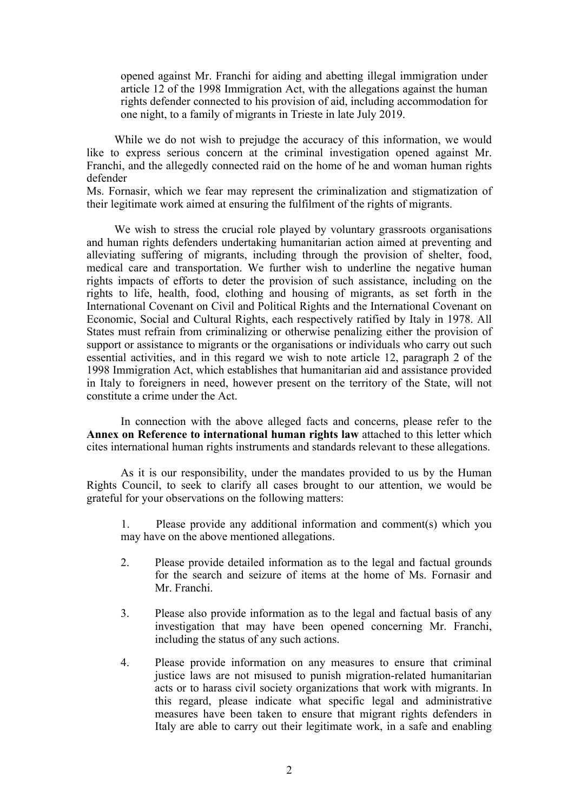opened against Mr. Franchi for aiding and abetting illegal immigration under article 12 of the 1998 Immigration Act, with the allegations against the human rights defender connected to his provision of aid, including accommodation for one night, to <sup>a</sup> family of migrants in Trieste in late July 2019.

While we do not wish to prejudge the accuracy of this information, we would like to express serious concern at the criminal investigation opened against Mr. Franchi, and the allegedly connected raid on the home of he and woman human rights defender

Ms. Fornasir, which we fear may represen<sup>t</sup> the criminalization and stigmatization of their legitimate work aimed at ensuring the fulfilment of the rights of migrants.

We wish to stress the crucial role played by voluntary grassroots organisations and human rights defenders undertaking humanitarian action aimed at preventing and alleviating suffering of migrants, including through the provision of shelter, food, medical care and transportation. We further wish to underline the negative human rights impacts of efforts to deter the provision of such assistance, including on the rights to life, health, food, clothing and housing of migrants, as set forth in the International Covenant on Civil and Political Rights and the International Covenant on Economic, Social and Cultural Rights, each respectively ratified by Italy in 1978. All States must refrain from criminalizing or otherwise penalizing either the provision of support or assistance to migrants or the organisations or individuals who carry out such essential activities, and in this regard we wish to note article 12, paragraph 2 of the 1998 Immigration Act, which establishes that humanitarian aid and assistance provided in Italy to foreigners in need, however presen<sup>t</sup> on the territory of the State, will not constitute <sup>a</sup> crime under the Act.

In connection with the above alleged facts and concerns, please refer to the **Annex on Reference to international human rights law** attached to this letter which cites international human rights instruments and standards relevant to these allegations.

As it is our responsibility, under the mandates provided to us by the Human Rights Council, to seek to clarify all cases brought to our attention, we would be grateful for your observations on the following matters:

1. Please provide any additional information and comment(s) which you may have on the above mentioned allegations.

- 2. Please provide detailed information as to the legal and factual grounds for the search and seizure of items at the home of Ms. Fornasir and Mr. Franchi.
- 3. Please also provide information as to the legal and factual basis of any investigation that may have been opened concerning Mr. Franchi, including the status of any such actions.
- 4. Please provide information on any measures to ensure that criminal justice laws are not misused to punish migration-related humanitarian acts or to harass civil society organizations that work with migrants. In this regard, please indicate what specific legal and administrative measures have been taken to ensure that migrant rights defenders in Italy are able to carry out their legitimate work, in <sup>a</sup> safe and enabling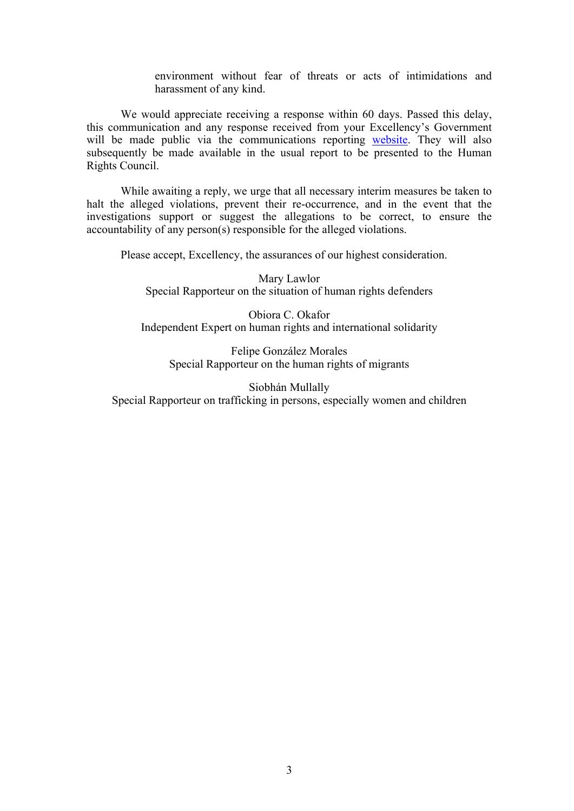environment without fear of threats or acts of intimidations and harassment of any kind.

We would appreciate receiving a response within 60 days. Passed this delay, this communication and any response received from your Excellency'<sup>s</sup> Government will be made public via the communications reporting [website](https://spcommreports.ohchr.org/). They will also subsequently be made available in the usual repor<sup>t</sup> to be presented to the Human Rights Council.

While awaiting <sup>a</sup> reply, we urge that all necessary interim measures be taken to halt the alleged violations, preven<sup>t</sup> their re-occurrence, and in the event that the investigations suppor<sup>t</sup> or sugges<sup>t</sup> the allegations to be correct, to ensure the accountability of any person(s) responsible for the alleged violations.

Please accept, Excellency, the assurances of our highest consideration.

Mary Lawlor Special Rapporteur on the situation of human rights defenders

Obiora C. Okafor Independent Expert on human rights and international solidarity

Felipe González Morales Special Rapporteur on the human rights of migrants

Siobhán Mullally Special Rapporteur on trafficking in persons, especially women and children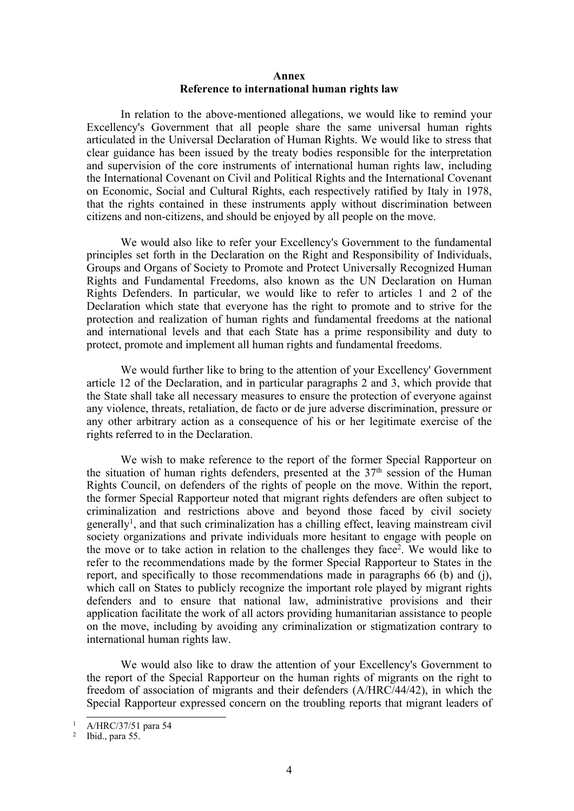## **Annex Reference to international human rights law**

In relation to the above-mentioned allegations, we would like to remind your Excellency's Government that all people share the same universal human rights articulated in the Universal Declaration of Human Rights. We would like to stress that clear guidance has been issued by the treaty bodies responsible for the interpretation and supervision of the core instruments of international human rights law, including the International Covenant on Civil and Political Rights and the International Covenant on Economic, Social and Cultural Rights, each respectively ratified by Italy in 1978, that the rights contained in these instruments apply without discrimination between citizens and non-citizens, and should be enjoyed by all people on the move.

We would also like to refer your Excellency's Government to the fundamental principles set forth in the Declaration on the Right and Responsibility of Individuals, Groups and Organs of Society to Promote and Protect Universally Recognized Human Rights and Fundamental Freedoms, also known as the UN Declaration on Human Rights Defenders. In particular, we would like to refer to articles 1 and 2 of the Declaration which state that everyone has the right to promote and to strive for the protection and realization of human rights and fundamental freedoms at the national and international levels and that each State has <sup>a</sup> prime responsibility and duty to protect, promote and implement all human rights and fundamental freedoms.

We would further like to bring to the attention of your Excellency' Government article 12 of the Declaration, and in particular paragraphs 2 and 3, which provide that the State shall take all necessary measures to ensure the protection of everyone against any violence, threats, retaliation, de facto or de jure adverse discrimination, pressure or any other arbitrary action as <sup>a</sup> consequence of his or her legitimate exercise of the rights referred to in the Declaration.

We wish to make reference to the repor<sup>t</sup> of the former Special Rapporteur on the situation of human rights defenders, presented at the  $37<sup>th</sup>$  session of the Human Rights Council, on defenders of the rights of people on the move. Within the report, the former Special Rapporteur noted that migrant rights defenders are often subject to criminalization and restrictions above and beyond those faced by civil society generally<sup>1</sup>, and that such criminalization has a chilling effect, leaving mainstream civil society organizations and private individuals more hesitant to engage with people on the move or to take action in relation to the challenges they face<sup>2</sup>. We would like to refer to the recommendations made by the former Special Rapporteur to States in the report, and specifically to those recommendations made in paragraphs 66 (b) and (j), which call on States to publicly recognize the important role played by migrant rights defenders and to ensure that national law, administrative provisions and their application facilitate the work of all actors providing humanitarian assistance to people on the move, including by avoiding any criminalization or stigmatization contrary to international human rights law.

We would also like to draw the attention of your Excellency's Government to the repor<sup>t</sup> of the Special Rapporteur on the human rights of migrants on the right to freedom of association of migrants and their defenders (A/HRC/44/42), in which the Special Rapporteur expressed concern on the troubling reports that migrant leaders of

<sup>1</sup> A/HRC/37/51 para 54

<sup>2</sup> Ibid., para 55.